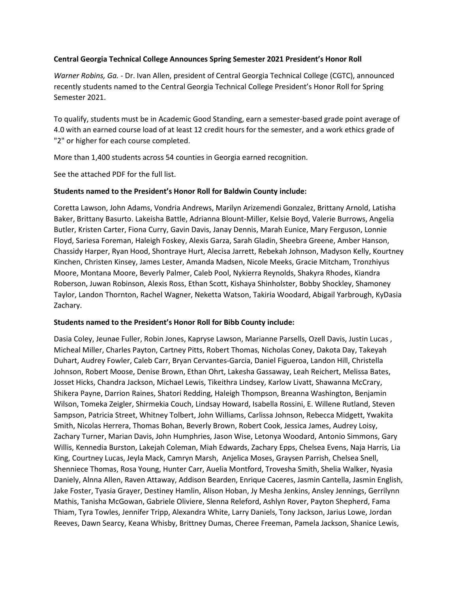# **Central Georgia Technical College Announces Spring Semester 2021 President's Honor Roll**

*Warner Robins, Ga. -* Dr. Ivan Allen, president of Central Georgia Technical College (CGTC), announced recently students named to the Central Georgia Technical College President's Honor Roll for Spring Semester 2021.

To qualify, students must be in Academic Good Standing, earn a semester-based grade point average of 4.0 with an earned course load of at least 12 credit hours for the semester, and a work ethics grade of "2" or higher for each course completed.

More than 1,400 students across 54 counties in Georgia earned recognition.

See the attached PDF for the full list.

# **Students named to the President's Honor Roll for Baldwin County include:**

Coretta Lawson, John Adams, Vondria Andrews, Marilyn Arizemendi Gonzalez, Brittany Arnold, Latisha Baker, Brittany Basurto. Lakeisha Battle, Adrianna Blount-Miller, Kelsie Boyd, Valerie Burrows, Angelia Butler, Kristen Carter, Fiona Curry, Gavin Davis, Janay Dennis, Marah Eunice, Mary Ferguson, Lonnie Floyd, Sariesa Foreman, Haleigh Foskey, Alexis Garza, Sarah Gladin, Sheebra Greene, Amber Hanson, Chassidy Harper, Ryan Hood, Shontraye Hurt, Alecisa Jarrett, Rebekah Johnson, Madyson Kelly, Kourtney Kinchen, Christen Kinsey, James Lester, Amanda Madsen, Nicole Meeks, Gracie Mitcham, Tronzhiyus Moore, Montana Moore, Beverly Palmer, Caleb Pool, Nykierra Reynolds, Shakyra Rhodes, Kiandra Roberson, Juwan Robinson, Alexis Ross, Ethan Scott, Kishaya Shinholster, Bobby Shockley, Shamoney Taylor, Landon Thornton, Rachel Wagner, Neketta Watson, Takiria Woodard, Abigail Yarbrough, KyDasia Zachary.

# **Students named to the President's Honor Roll for Bibb County include:**

Dasia Coley, Jeunae Fuller, Robin Jones, Kapryse Lawson, Marianne Parsells, Ozell Davis, Justin Lucas , Micheal Miller, Charles Payton, Cartney Pitts, Robert Thomas, Nicholas Coney, Dakota Day, Takeyah Duhart, Audrey Fowler, Caleb Carr, Bryan Cervantes-Garcia, Daniel Figueroa, Landon Hill, Christella Johnson, Robert Moose, Denise Brown, Ethan Ohrt, Lakesha Gassaway, Leah Reichert, Melissa Bates, Josset Hicks, Chandra Jackson, Michael Lewis, Tikeithra Lindsey, Karlow Livatt, Shawanna McCrary, Shikera Payne, Darrion Raines, Shatori Redding, Haleigh Thompson, Breanna Washington, Benjamin Wilson, Tomeka Zeigler, Shirmekia Couch, Lindsay Howard, Isabella Rossini, E. Willene Rutland, Steven Sampson, Patricia Street, Whitney Tolbert, John Williams, Carlissa Johnson, Rebecca Midgett, Ywakita Smith, Nicolas Herrera, Thomas Bohan, Beverly Brown, Robert Cook, Jessica James, Audrey Loisy, Zachary Turner, Marian Davis, John Humphries, Jason Wise, Letonya Woodard, Antonio Simmons, Gary Willis, Kennedia Burston, Lakejah Coleman, Miah Edwards, Zachary Epps, Chelsea Evens, Naja Harris, Lia King, Courtney Lucas, Jeyla Mack, Camryn Marsh, Anjelica Moses, Graysen Parrish, Chelsea Snell, Shenniece Thomas, Rosa Young, Hunter Carr, Auelia Montford, Trovesha Smith, Shelia Walker, Nyasia Daniely, Alnna Allen, Raven Attaway, Addison Bearden, Enrique Caceres, Jasmin Cantella, Jasmin English, Jake Foster, Tyasia Grayer, Destiney Hamlin, Alison Hoban, Jy Mesha Jenkins, Ansley Jennings, Gerrilynn Mathis, Tanisha McGowan, Gabriele Oliviere, Slenna Releford, Ashlyn Rover, Payton Shepherd, Fama Thiam, Tyra Towles, Jennifer Tripp, Alexandra White, Larry Daniels, Tony Jackson, Jarius Lowe, Jordan Reeves, Dawn Searcy, Keana Whisby, Brittney Dumas, Cheree Freeman, Pamela Jackson, Shanice Lewis,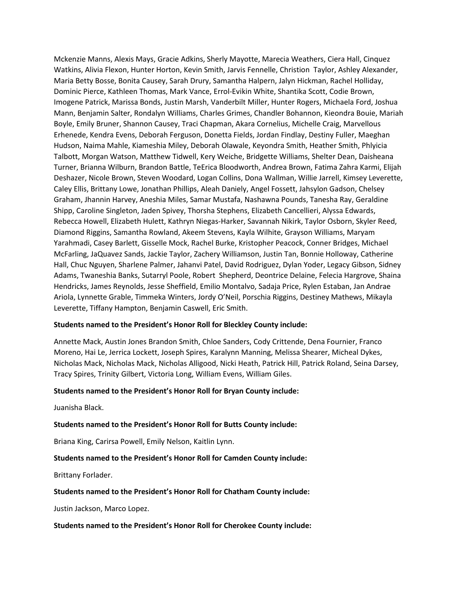Mckenzie Manns, Alexis Mays, Gracie Adkins, Sherly Mayotte, Marecia Weathers, Ciera Hall, Cinquez Watkins, Alivia Flexon, Hunter Horton, Kevin Smith, Jarvis Fennelle, Christion Taylor, Ashley Alexander, Maria Betty Bosse, Bonita Causey, Sarah Drury, Samantha Halpern, Jalyn Hickman, Rachel Holliday, Dominic Pierce, Kathleen Thomas, Mark Vance, Errol-Evikin White, Shantika Scott, Codie Brown, Imogene Patrick, Marissa Bonds, Justin Marsh, Vanderbilt Miller, Hunter Rogers, Michaela Ford, Joshua Mann, Benjamin Salter, Rondalyn Williams, Charles Grimes, Chandler Bohannon, Kieondra Bouie, Mariah Boyle, Emily Bruner, Shannon Causey, Traci Chapman, Akara Cornelius, Michelle Craig, Marvellous Erhenede, Kendra Evens, Deborah Ferguson, Donetta Fields, Jordan Findlay, Destiny Fuller, Maeghan Hudson, Naima Mahle, Kiameshia Miley, Deborah Olawale, Keyondra Smith, Heather Smith, Phlyicia Talbott, Morgan Watson, Matthew Tidwell, Kery Weiche, Bridgette Williams, Shelter Dean, Daisheana Turner, Brianna Wilburn, Brandon Battle, TeErica Bloodworth, Andrea Brown, Fatima Zahra Karmi, Elijah Deshazer, Nicole Brown, Steven Woodard, Logan Collins, Dona Wallman, Willie Jarrell, Kimsey Leverette, Caley Ellis, Brittany Lowe, Jonathan Phillips, Aleah Daniely, Angel Fossett, Jahsylon Gadson, Chelsey Graham, Jhannin Harvey, Aneshia Miles, Samar Mustafa, Nashawna Pounds, Tanesha Ray, Geraldine Shipp, Caroline Singleton, Jaden Spivey, Thorsha Stephens, Elizabeth Cancellieri, Alyssa Edwards, Rebecca Howell, Elizabeth Hulett, Kathryn Niegas-Harker, Savannah Nikirk, Taylor Osborn, Skyler Reed, Diamond Riggins, Samantha Rowland, Akeem Stevens, Kayla Wilhite, Grayson Williams, Maryam Yarahmadi, Casey Barlett, Gisselle Mock, Rachel Burke, Kristopher Peacock, Conner Bridges, Michael McFarling, JaQuavez Sands, Jackie Taylor, Zachery Williamson, Justin Tan, Bonnie Holloway, Catherine Hall, Chuc Nguyen, Sharlene Palmer, Jahanvi Patel, David Rodriguez, Dylan Yoder, Legacy Gibson, Sidney Adams, Twaneshia Banks, Sutarryl Poole, Robert Shepherd, Deontrice Delaine, Felecia Hargrove, Shaina Hendricks, James Reynolds, Jesse Sheffield, Emilio Montalvo, Sadaja Price, Rylen Estaban, Jan Andrae Ariola, Lynnette Grable, Timmeka Winters, Jordy O'Neil, Porschia Riggins, Destiney Mathews, Mikayla Leverette, Tiffany Hampton, Benjamin Caswell, Eric Smith.

#### **Students named to the President's Honor Roll for Bleckley County include:**

Annette Mack, Austin Jones Brandon Smith, Chloe Sanders, Cody Crittende, Dena Fournier, Franco Moreno, Hai Le, Jerrica Lockett, Joseph Spires, Karalynn Manning, Melissa Shearer, Micheal Dykes, Nicholas Mack, Nicholas Mack, Nicholas Alligood, Nicki Heath, Patrick Hill, Patrick Roland, Seina Darsey, Tracy Spires, Trinity Gilbert, Victoria Long, William Evens, William Giles.

#### **Students named to the President's Honor Roll for Bryan County include:**

Juanisha Black.

#### **Students named to the President's Honor Roll for Butts County include:**

Briana King, Carirsa Powell, Emily Nelson, Kaitlin Lynn.

#### **Students named to the President's Honor Roll for Camden County include:**

Brittany Forlader.

#### **Students named to the President's Honor Roll for Chatham County include:**

Justin Jackson, Marco Lopez.

#### **Students named to the President's Honor Roll for Cherokee County include:**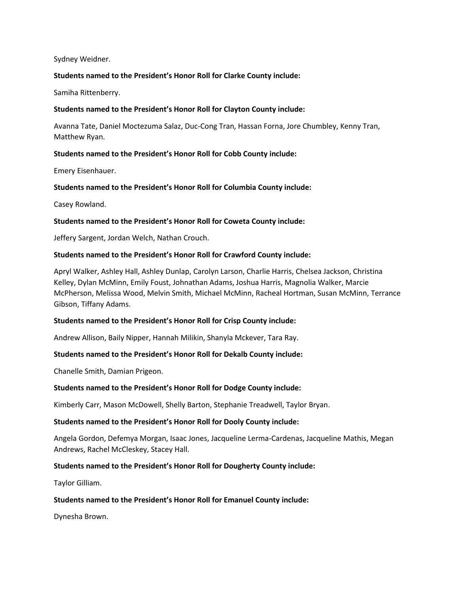#### Sydney Weidner.

### **Students named to the President's Honor Roll for Clarke County include:**

Samiha Rittenberry.

### **Students named to the President's Honor Roll for Clayton County include:**

Avanna Tate, Daniel Moctezuma Salaz, Duc-Cong Tran, Hassan Forna, Jore Chumbley, Kenny Tran, Matthew Ryan.

### **Students named to the President's Honor Roll for Cobb County include:**

Emery Eisenhauer.

# **Students named to the President's Honor Roll for Columbia County include:**

Casey Rowland.

### **Students named to the President's Honor Roll for Coweta County include:**

Jeffery Sargent, Jordan Welch, Nathan Crouch.

### **Students named to the President's Honor Roll for Crawford County include:**

Apryl Walker, Ashley Hall, Ashley Dunlap, Carolyn Larson, Charlie Harris, Chelsea Jackson, Christina Kelley, Dylan McMinn, Emily Foust, Johnathan Adams, Joshua Harris, Magnolia Walker, Marcie McPherson, Melissa Wood, Melvin Smith, Michael McMinn, Racheal Hortman, Susan McMinn, Terrance Gibson, Tiffany Adams.

#### **Students named to the President's Honor Roll for Crisp County include:**

Andrew Allison, Baily Nipper, Hannah Milikin, Shanyla Mckever, Tara Ray.

# **Students named to the President's Honor Roll for Dekalb County include:**

Chanelle Smith, Damian Prigeon.

#### **Students named to the President's Honor Roll for Dodge County include:**

Kimberly Carr, Mason McDowell, Shelly Barton, Stephanie Treadwell, Taylor Bryan.

#### **Students named to the President's Honor Roll for Dooly County include:**

Angela Gordon, Defemya Morgan, Isaac Jones, Jacqueline Lerma-Cardenas, Jacqueline Mathis, Megan Andrews, Rachel McCleskey, Stacey Hall.

#### **Students named to the President's Honor Roll for Dougherty County include:**

Taylor Gilliam.

#### **Students named to the President's Honor Roll for Emanuel County include:**

Dynesha Brown.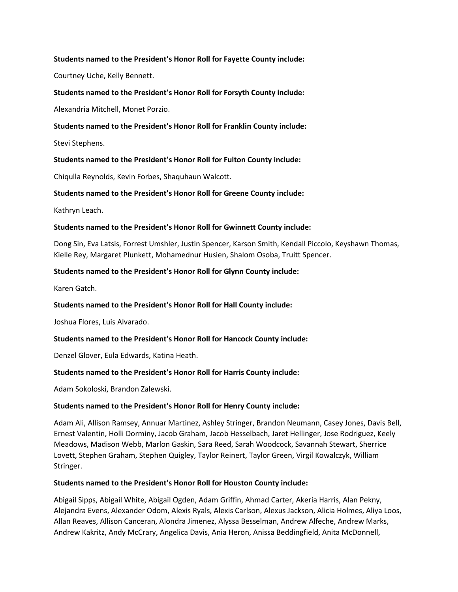## **Students named to the President's Honor Roll for Fayette County include:**

Courtney Uche, Kelly Bennett.

### **Students named to the President's Honor Roll for Forsyth County include:**

Alexandria Mitchell, Monet Porzio.

### **Students named to the President's Honor Roll for Franklin County include:**

Stevi Stephens.

# **Students named to the President's Honor Roll for Fulton County include:**

Chiqulla Reynolds, Kevin Forbes, Shaquhaun Walcott.

# **Students named to the President's Honor Roll for Greene County include:**

Kathryn Leach.

### **Students named to the President's Honor Roll for Gwinnett County include:**

Dong Sin, Eva Latsis, Forrest Umshler, Justin Spencer, Karson Smith, Kendall Piccolo, Keyshawn Thomas, Kielle Rey, Margaret Plunkett, Mohamednur Husien, Shalom Osoba, Truitt Spencer.

### **Students named to the President's Honor Roll for Glynn County include:**

Karen Gatch.

# **Students named to the President's Honor Roll for Hall County include:**

Joshua Flores, Luis Alvarado.

# **Students named to the President's Honor Roll for Hancock County include:**

Denzel Glover, Eula Edwards, Katina Heath.

# **Students named to the President's Honor Roll for Harris County include:**

Adam Sokoloski, Brandon Zalewski.

#### **Students named to the President's Honor Roll for Henry County include:**

Adam Ali, Allison Ramsey, Annuar Martinez, Ashley Stringer, Brandon Neumann, Casey Jones, Davis Bell, Ernest Valentin, Holli Dorminy, Jacob Graham, Jacob Hesselbach, Jaret Hellinger, Jose Rodriguez, Keely Meadows, Madison Webb, Marlon Gaskin, Sara Reed, Sarah Woodcock, Savannah Stewart, Sherrice Lovett, Stephen Graham, Stephen Quigley, Taylor Reinert, Taylor Green, Virgil Kowalczyk, William Stringer.

#### **Students named to the President's Honor Roll for Houston County include:**

Abigail Sipps, Abigail White, Abigail Ogden, Adam Griffin, Ahmad Carter, Akeria Harris, Alan Pekny, Alejandra Evens, Alexander Odom, Alexis Ryals, Alexis Carlson, Alexus Jackson, Alicia Holmes, Aliya Loos, Allan Reaves, Allison Canceran, Alondra Jimenez, Alyssa Besselman, Andrew Alfeche, Andrew Marks, Andrew Kakritz, Andy McCrary, Angelica Davis, Ania Heron, Anissa Beddingfield, Anita McDonnell,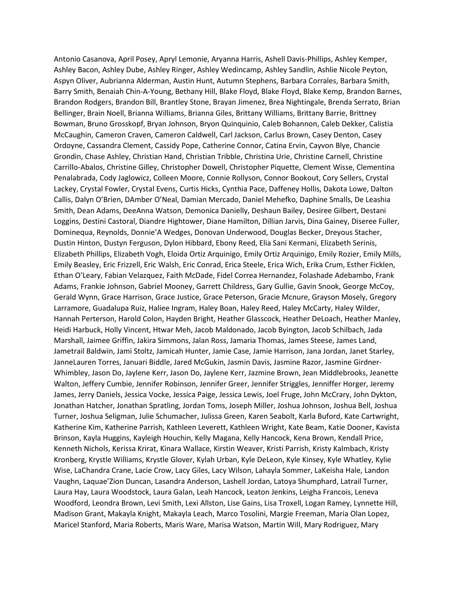Antonio Casanova, April Posey, Apryl Lemonie, Aryanna Harris, Ashell Davis-Phillips, Ashley Kemper, Ashley Bacon, Ashley Dube, Ashley Ringer, Ashley Wedincamp, Ashley Sandlin, Ashlie Nicole Peyton, Aspyn Oliver, Aubrianna Alderman, Austin Hunt, Autumn Stephens, Barbara Corrales, Barbara Smith, Barry Smith, Benaiah Chin-A-Young, Bethany Hill, Blake Floyd, Blake Floyd, Blake Kemp, Brandon Barnes, Brandon Rodgers, Brandon Bill, Brantley Stone, Brayan Jimenez, Brea Nightingale, Brenda Serrato, Brian Bellinger, Brain Noell, Brianna Williams, Brianna Giles, Brittany Williams, Brittany Barrie, Brittney Bowman, Bruno Grosskopf, Bryan Johnson, Bryon Quinquinio, Caleb Bohannon, Caleb Dekker, Calistia McCaughin, Cameron Craven, Cameron Caldwell, Carl Jackson, Carlus Brown, Casey Denton, Casey Ordoyne, Cassandra Clement, Cassidy Pope, Catherine Connor, Catina Ervin, Cayvon Blye, Chancie Grondin, Chase Ashley, Christian Hand, Christian Tribble, Christina Urie, Christine Carnell, Christine Carrillo-Abalos, Christine Gilley, Christopher Dowell, Christopher Piquette, Clement Wisse, Clementina Penalabrada, Cody Jaglowicz, Colleen Moore, Connie Rollyson, Connor Bookout, Cory Sellers, Crystal Lackey, Crystal Fowler, Crystal Evens, Curtis Hicks, Cynthia Pace, Daffeney Hollis, Dakota Lowe, Dalton Callis, Dalyn O'Brien, DAmber O'Neal, Damian Mercado, Daniel Mehefko, Daphine Smalls, De Leashia Smith, Dean Adams, DeeAnna Watson, Demonica Danielly, Deshaun Bailey, Desiree Gilbert, Destani Loggins, Destini Castoral, Diandre Hightower, Diane Hamilton, Dillian Jarvis, Dina Gainey, Diseree Fuller, Dominequa, Reynolds, Donnie'A Wedges, Donovan Underwood, Douglas Becker, Dreyous Stacher, Dustin Hinton, Dustyn Ferguson, Dylon Hibbard, Ebony Reed, Elia Sani Kermani, Elizabeth Serinis, Elizabeth Phillips, Elizabeth Vogh, Eloida Ortiz Arquinigo, Emily Ortiz Arquinigo, Emily Rozier, Emily Mills, Emily Beasley, Eric Frizzell, Eric Walsh, Eric Conrad, Erica Steele, Erica Wich, Erika Crum, Esther Ficklen, Ethan O'Leary, Fabian Velazquez, Faith McDade, Fidel Correa Hernandez, Folashade Adebambo, Frank Adams, Frankie Johnson, Gabriel Mooney, Garrett Childress, Gary Gullie, Gavin Snook, George McCoy, Gerald Wynn, Grace Harrison, Grace Justice, Grace Peterson, Gracie Mcnure, Grayson Mosely, Gregory Larramore, Guadalupa Ruiz, Haliee Ingram, Haley Boan, Haley Reed, Haley McCarty, Haley Wilder, Hannah Perterson, Harold Colon, Hayden Bright, Heather Glasscock, Heather DeLoach, Heather Manley, Heidi Harbuck, Holly Vincent, Htwar Meh, Jacob Maldonado, Jacob Byington, Jacob Schilbach, Jada Marshall, Jaimee Griffin, Jakira Simmons, Jalan Ross, Jamaria Thomas, James Steese, James Land, Jametrail Baldwin, Jami Stoltz, Jamicah Hunter, Jamie Case, Jamie Harrison, Jana Jordan, Janet Starley, JanneLauren Torres, Januari Biddle, Jared McGukin, Jasmin Davis, Jasmine Razor, Jasmine Girdner-Whimbley, Jason Do, Jaylene Kerr, Jason Do, Jaylene Kerr, Jazmine Brown, Jean Middlebrooks, Jeanette Walton, Jeffery Cumbie, Jennifer Robinson, Jennifer Greer, Jennifer Striggles, Jenniffer Horger, Jeremy James, Jerry Daniels, Jessica Vocke, Jessica Paige, Jessica Lewis, Joel Fruge, John McCrary, John Dykton, Jonathan Hatcher, Jonathan Spratling, Jordan Toms, Joseph Miller, Joshua Johnson, Joshua Bell, Joshua Turner, Joshua Seligman, Julie Schumacher, Julissa Green, Karen Seabolt, Karla Buford, Kate Cartwright, Katherine Kim, Katherine Parrish, Kathleen Leverett, Kathleen Wright, Kate Beam, Katie Dooner, Kavista Brinson, Kayla Huggins, Kayleigh Houchin, Kelly Magana, Kelly Hancock, Kena Brown, Kendall Price, Kenneth Nichols, Kerissa Krirat, Kinara Wallace, Kirstin Weaver, Kristi Parrish, Kristy Kalmbach, Kristy Kronberg, Krystle Williams, Krystle Glover, Kylah Urban, Kyle DeLeon, Kyle Kinsey, Kyle Whatley, Kylie Wise, LaChandra Crane, Lacie Crow, Lacy Giles, Lacy Wilson, Lahayla Sommer, LaKeisha Hale, Landon Vaughn, Laquae'Zion Duncan, Lasandra Anderson, Lashell Jordan, Latoya Shumphard, Latrail Turner, Laura Hay, Laura Woodstock, Laura Galan, Leah Hancock, Leaton Jenkins, Leigha Francois, Leneva Woodford, Leondra Brown, Levi Smith, Lexi Allston, Lise Gains, Lisa Troxell, Logan Ramey, Lynnette Hill, Madison Grant, Makayla Knight, Makayla Leach, Marco Tosolini, Margie Freeman, Maria Olan Lopez, Maricel Stanford, Maria Roberts, Maris Ware, Marisa Watson, Martin Will, Mary Rodriguez, Mary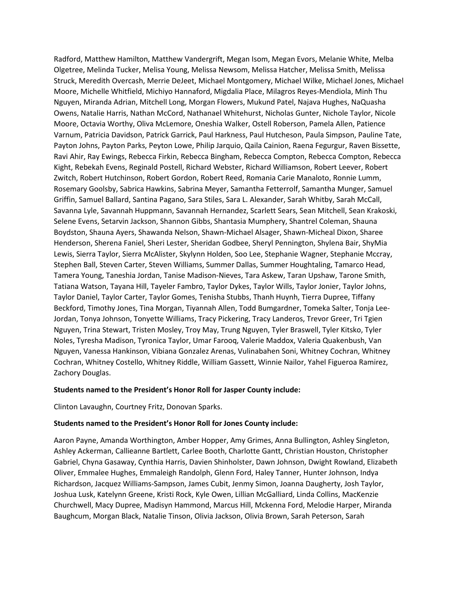Radford, Matthew Hamilton, Matthew Vandergrift, Megan Isom, Megan Evors, Melanie White, Melba Olgetree, Melinda Tucker, Melisa Young, Melissa Newsom, Melissa Hatcher, Melissa Smith, Melissa Struck, Meredith Overcash, Merrie DeJeet, Michael Montgomery, Michael Wilke, Michael Jones, Michael Moore, Michelle Whitfield, Michiyo Hannaford, Migdalia Place, Milagros Reyes-Mendiola, Minh Thu Nguyen, Miranda Adrian, Mitchell Long, Morgan Flowers, Mukund Patel, Najava Hughes, NaQuasha Owens, Natalie Harris, Nathan McCord, Nathanael Whitehurst, Nicholas Gunter, Nichole Taylor, Nicole Moore, Octavia Worthy, Oliva McLemore, Oneshia Walker, Ostell Roberson, Pamela Allen, Patience Varnum, Patricia Davidson, Patrick Garrick, Paul Harkness, Paul Hutcheson, Paula Simpson, Pauline Tate, Payton Johns, Payton Parks, Peyton Lowe, Philip Jarquio, Qaila Cainion, Raena Fegurgur, Raven Bissette, Ravi Ahir, Ray Ewings, Rebecca Firkin, Rebecca Bingham, Rebecca Compton, Rebecca Compton, Rebecca Kight, Rebekah Evens, Reginald Postell, Richard Webster, Richard Williamson, Robert Leever, Robert Zwitch, Robert Hutchinson, Robert Gordon, Robert Reed, Romania Carie Manaloto, Ronnie Lumm, Rosemary Goolsby, Sabrica Hawkins, Sabrina Meyer, Samantha Fetterrolf, Samantha Munger, Samuel Griffin, Samuel Ballard, Santina Pagano, Sara Stiles, Sara L. Alexander, Sarah Whitby, Sarah McCall, Savanna Lyle, Savannah Huppmann, Savannah Hernandez, Scarlett Sears, Sean Mitchell, Sean Krakoski, Selene Evens, Setarvin Jackson, Shannon Gibbs, Shantasia Mumphery, Shantrel Coleman, Shauna Boydston, Shauna Ayers, Shawanda Nelson, Shawn-Michael Alsager, Shawn-Micheal Dixon, Sharee Henderson, Sherena Faniel, Sheri Lester, Sheridan Godbee, Sheryl Pennington, Shylena Bair, ShyMia Lewis, Sierra Taylor, Sierra McAlister, Skylynn Holden, Soo Lee, Stephanie Wagner, Stephanie Mccray, Stephen Ball, Steven Carter, Steven Williams, Summer Dallas, Summer Houghtaling, Tamarco Head, Tamera Young, Taneshia Jordan, Tanise Madison-Nieves, Tara Askew, Taran Upshaw, Tarone Smith, Tatiana Watson, Tayana Hill, Tayeler Fambro, Taylor Dykes, Taylor Wills, Taylor Jonier, Taylor Johns, Taylor Daniel, Taylor Carter, Taylor Gomes, Tenisha Stubbs, Thanh Huynh, Tierra Dupree, Tiffany Beckford, Timothy Jones, Tina Morgan, Tiyannah Allen, Todd Bumgardner, Tomeka Salter, Tonja Lee-Jordan, Tonya Johnson, Tonyette Williams, Tracy Pickering, Tracy Landeros, Trevor Greer, Tri Tgien Nguyen, Trina Stewart, Tristen Mosley, Troy May, Trung Nguyen, Tyler Braswell, Tyler Kitsko, Tyler Noles, Tyresha Madison, Tyronica Taylor, Umar Farooq, Valerie Maddox, Valeria Quakenbush, Van Nguyen, Vanessa Hankinson, Vibiana Gonzalez Arenas, Vulinabahen Soni, Whitney Cochran, Whitney Cochran, Whitney Costello, Whitney Riddle, William Gassett, Winnie Nailor, Yahel Figueroa Ramirez, Zachory Douglas.

#### **Students named to the President's Honor Roll for Jasper County include:**

Clinton Lavaughn, Courtney Fritz, Donovan Sparks.

#### **Students named to the President's Honor Roll for Jones County include:**

Aaron Payne, Amanda Worthington, Amber Hopper, Amy Grimes, Anna Bullington, Ashley Singleton, Ashley Ackerman, Callieanne Bartlett, Carlee Booth, Charlotte Gantt, Christian Houston, Christopher Gabriel, Chyna Gasaway, Cynthia Harris, Davien Shinholster, Dawn Johnson, Dwight Rowland, Elizabeth Oliver, Emmalee Hughes, Emmaleigh Randolph, Glenn Ford, Haley Tanner, Hunter Johnson, Indya Richardson, Jacquez Williams-Sampson, James Cubit, Jenmy Simon, Joanna Daugherty, Josh Taylor, Joshua Lusk, Katelynn Greene, Kristi Rock, Kyle Owen, Lillian McGalliard, Linda Collins, MacKenzie Churchwell, Macy Dupree, Madisyn Hammond, Marcus Hill, Mckenna Ford, Melodie Harper, Miranda Baughcum, Morgan Black, Natalie Tinson, Olivia Jackson, Olivia Brown, Sarah Peterson, Sarah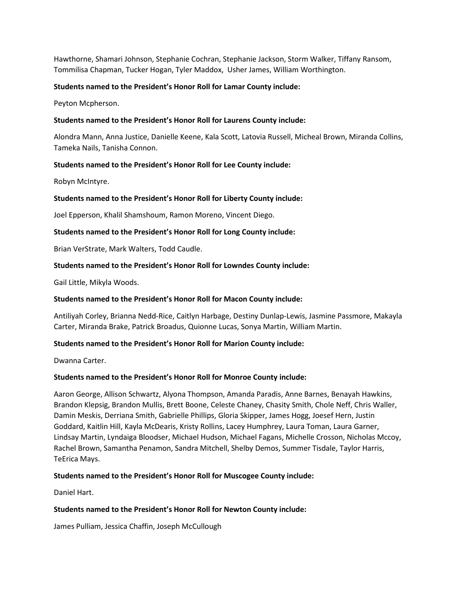Hawthorne, Shamari Johnson, Stephanie Cochran, Stephanie Jackson, Storm Walker, Tiffany Ransom, Tommilisa Chapman, Tucker Hogan, Tyler Maddox, Usher James, William Worthington.

# **Students named to the President's Honor Roll for Lamar County include:**

Peyton Mcpherson.

### **Students named to the President's Honor Roll for Laurens County include:**

Alondra Mann, Anna Justice, Danielle Keene, Kala Scott, Latovia Russell, Micheal Brown, Miranda Collins, Tameka Nails, Tanisha Connon.

### **Students named to the President's Honor Roll for Lee County include:**

Robyn McIntyre.

### **Students named to the President's Honor Roll for Liberty County include:**

Joel Epperson, Khalil Shamshoum, Ramon Moreno, Vincent Diego.

### **Students named to the President's Honor Roll for Long County include:**

Brian VerStrate, Mark Walters, Todd Caudle.

### **Students named to the President's Honor Roll for Lowndes County include:**

Gail Little, Mikyla Woods.

#### **Students named to the President's Honor Roll for Macon County include:**

Antiliyah Corley, Brianna Nedd-Rice, Caitlyn Harbage, Destiny Dunlap-Lewis, Jasmine Passmore, Makayla Carter, Miranda Brake, Patrick Broadus, Quionne Lucas, Sonya Martin, William Martin.

#### **Students named to the President's Honor Roll for Marion County include:**

Dwanna Carter.

#### **Students named to the President's Honor Roll for Monroe County include:**

Aaron George, Allison Schwartz, Alyona Thompson, Amanda Paradis, Anne Barnes, Benayah Hawkins, Brandon Klepsig, Brandon Mullis, Brett Boone, Celeste Chaney, Chasity Smith, Chole Neff, Chris Waller, Damin Meskis, Derriana Smith, Gabrielle Phillips, Gloria Skipper, James Hogg, Joesef Hern, Justin Goddard, Kaitlin Hill, Kayla McDearis, Kristy Rollins, Lacey Humphrey, Laura Toman, Laura Garner, Lindsay Martin, Lyndaiga Bloodser, Michael Hudson, Michael Fagans, Michelle Crosson, Nicholas Mccoy, Rachel Brown, Samantha Penamon, Sandra Mitchell, Shelby Demos, Summer Tisdale, Taylor Harris, TeErica Mays.

#### **Students named to the President's Honor Roll for Muscogee County include:**

Daniel Hart.

#### **Students named to the President's Honor Roll for Newton County include:**

James Pulliam, Jessica Chaffin, Joseph McCullough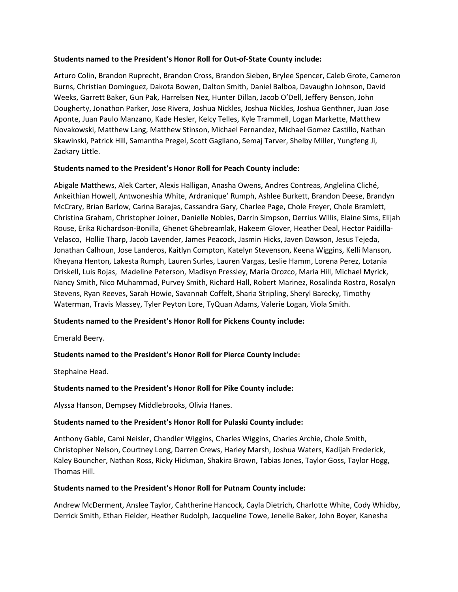# **Students named to the President's Honor Roll for Out-of-State County include:**

Arturo Colin, Brandon Ruprecht, Brandon Cross, Brandon Sieben, Brylee Spencer, Caleb Grote, Cameron Burns, Christian Dominguez, Dakota Bowen, Dalton Smith, Daniel Balboa, Davaughn Johnson, David Weeks, Garrett Baker, Gun Pak, Harrelsen Nez, Hunter Dillan, Jacob O'Dell, Jeffery Benson, John Dougherty, Jonathon Parker, Jose Rivera, Joshua Nickles, Joshua Nickles, Joshua Genthner, Juan Jose Aponte, Juan Paulo Manzano, Kade Hesler, Kelcy Telles, Kyle Trammell, Logan Markette, Matthew Novakowski, Matthew Lang, Matthew Stinson, Michael Fernandez, Michael Gomez Castillo, Nathan Skawinski, Patrick Hill, Samantha Pregel, Scott Gagliano, Semaj Tarver, Shelby Miller, Yungfeng Ji, Zackary Little.

# **Students named to the President's Honor Roll for Peach County include:**

Abigale Matthews, Alek Carter, Alexis Halligan, Anasha Owens, Andres Contreas, Anglelina Cliché, Ankeithian Howell, Antwoneshia White, Ardranique' Rumph, Ashlee Burkett, Brandon Deese, Brandyn McCrary, Brian Barlow, Carina Barajas, Cassandra Gary, Charlee Page, Chole Freyer, Chole Bramlett, Christina Graham, Christopher Joiner, Danielle Nobles, Darrin Simpson, Derrius Willis, Elaine Sims, Elijah Rouse, Erika Richardson-Bonilla, Ghenet Ghebreamlak, Hakeem Glover, Heather Deal, Hector Paidilla-Velasco, Hollie Tharp, Jacob Lavender, James Peacock, Jasmin Hicks, Javen Dawson, Jesus Tejeda, Jonathan Calhoun, Jose Landeros, Kaitlyn Compton, Katelyn Stevenson, Keena Wiggins, Kelli Manson, Kheyana Henton, Lakesta Rumph, Lauren Surles, Lauren Vargas, Leslie Hamm, Lorena Perez, Lotania Driskell, Luis Rojas, Madeline Peterson, Madisyn Pressley, Maria Orozco, Maria Hill, Michael Myrick, Nancy Smith, Nico Muhammad, Purvey Smith, Richard Hall, Robert Marinez, Rosalinda Rostro, Rosalyn Stevens, Ryan Reeves, Sarah Howie, Savannah Coffelt, Sharia Stripling, Sheryl Barecky, Timothy Waterman, Travis Massey, Tyler Peyton Lore, TyQuan Adams, Valerie Logan, Viola Smith.

# **Students named to the President's Honor Roll for Pickens County include:**

Emerald Beery.

# **Students named to the President's Honor Roll for Pierce County include:**

Stephaine Head.

# **Students named to the President's Honor Roll for Pike County include:**

Alyssa Hanson, Dempsey Middlebrooks, Olivia Hanes.

# **Students named to the President's Honor Roll for Pulaski County include:**

Anthony Gable, Cami Neisler, Chandler Wiggins, Charles Wiggins, Charles Archie, Chole Smith, Christopher Nelson, Courtney Long, Darren Crews, Harley Marsh, Joshua Waters, Kadijah Frederick, Kaley Bouncher, Nathan Ross, Ricky Hickman, Shakira Brown, Tabias Jones, Taylor Goss, Taylor Hogg, Thomas Hill.

# **Students named to the President's Honor Roll for Putnam County include:**

Andrew McDerment, Anslee Taylor, Cahtherine Hancock, Cayla Dietrich, Charlotte White, Cody Whidby, Derrick Smith, Ethan Fielder, Heather Rudolph, Jacqueline Towe, Jenelle Baker, John Boyer, Kanesha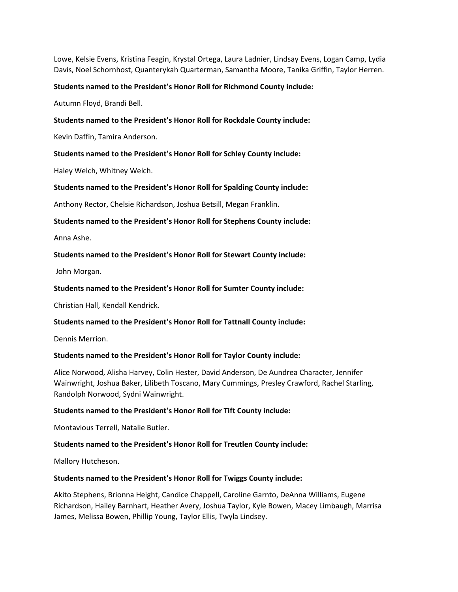Lowe, Kelsie Evens, Kristina Feagin, Krystal Ortega, Laura Ladnier, Lindsay Evens, Logan Camp, Lydia Davis, Noel Schornhost, Quanterykah Quarterman, Samantha Moore, Tanika Griffin, Taylor Herren.

### **Students named to the President's Honor Roll for Richmond County include:**

Autumn Floyd, Brandi Bell.

### **Students named to the President's Honor Roll for Rockdale County include:**

Kevin Daffin, Tamira Anderson.

### **Students named to the President's Honor Roll for Schley County include:**

Haley Welch, Whitney Welch.

### **Students named to the President's Honor Roll for Spalding County include:**

Anthony Rector, Chelsie Richardson, Joshua Betsill, Megan Franklin.

### **Students named to the President's Honor Roll for Stephens County include:**

Anna Ashe.

### **Students named to the President's Honor Roll for Stewart County include:**

John Morgan.

### **Students named to the President's Honor Roll for Sumter County include:**

Christian Hall, Kendall Kendrick.

#### **Students named to the President's Honor Roll for Tattnall County include:**

Dennis Merrion.

# **Students named to the President's Honor Roll for Taylor County include:**

Alice Norwood, Alisha Harvey, Colin Hester, David Anderson, De Aundrea Character, Jennifer Wainwright, Joshua Baker, Lilibeth Toscano, Mary Cummings, Presley Crawford, Rachel Starling, Randolph Norwood, Sydni Wainwright.

#### **Students named to the President's Honor Roll for Tift County include:**

Montavious Terrell, Natalie Butler.

# **Students named to the President's Honor Roll for Treutlen County include:**

Mallory Hutcheson.

#### **Students named to the President's Honor Roll for Twiggs County include:**

Akito Stephens, Brionna Height, Candice Chappell, Caroline Garnto, DeAnna Williams, Eugene Richardson, Hailey Barnhart, Heather Avery, Joshua Taylor, Kyle Bowen, Macey Limbaugh, Marrisa James, Melissa Bowen, Phillip Young, Taylor Ellis, Twyla Lindsey.